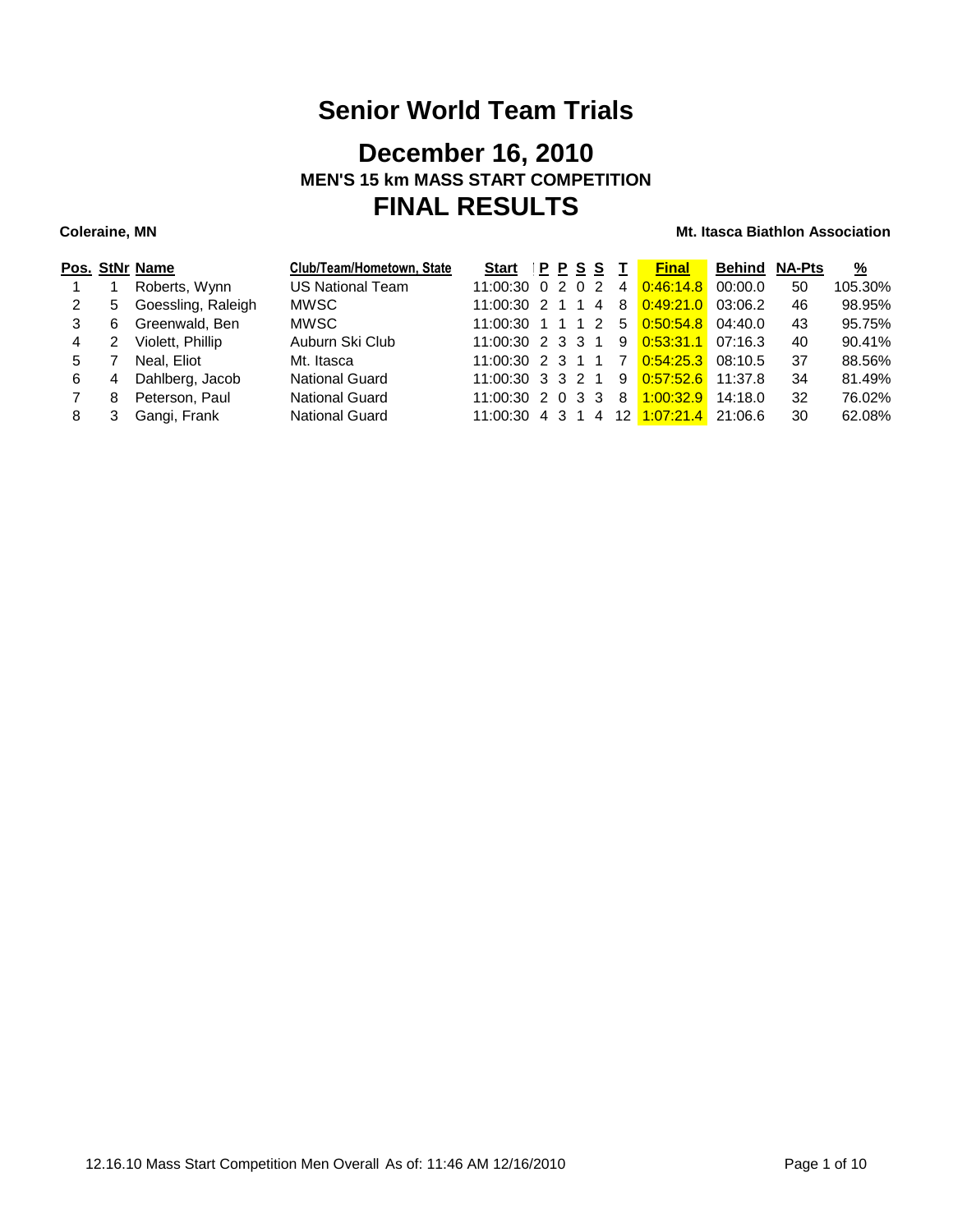## **December 16, 2010 MEN'S 15 km MASS START COMPETITION FINAL RESULTS**

### **Coleraine, MN Coleraine, MN Mt. Itasca Biathlon Association**

|   |   | Pos. StNr Name     | Club/Team/Hometown, State | <b>Start</b>                               | PPSS |                | Т              | <b>Final</b> | Behind  | <b>NA-Pts</b> | $\frac{9}{6}$ |
|---|---|--------------------|---------------------------|--------------------------------------------|------|----------------|----------------|--------------|---------|---------------|---------------|
|   |   | Roberts, Wynn      | <b>US National Team</b>   | $11:00:30 \quad 0 \quad 2 \quad 0 \quad 2$ |      |                | 4              | 0:46:14.8    | 00:00.0 | 50            | 105.30%       |
| 2 | 5 | Goessling, Raleigh | <b>MWSC</b>               | 11:00:30 2 1 1                             |      | $\overline{4}$ | 8              | 0:49:21.0    | 03:06.2 | 46            | 98.95%        |
| 3 | 6 | Greenwald, Ben     | <b>MWSC</b>               | 11:00:30 1 1 1 2                           |      |                | 5              | 0.50:54.8    | 04:40.0 | 43            | 95.75%        |
| 4 |   | Violett, Phillip   | Auburn Ski Club           | 11:00:30 2 3 3 1                           |      |                | 9              | 0.53:31.1    | 07:16.3 | 40            | 90.41%        |
| 5 |   | Neal, Eliot        | Mt. Itasca                | 11:00:30 2 3 1 1                           |      |                | $\overline{7}$ | 0:54:25.3    | 08:10.5 | 37            | 88.56%        |
| 6 | 4 | Dahlberg, Jacob    | <b>National Guard</b>     | 11:00:30 3 3 2 1                           |      |                | 9              | 0.57:52.6    | 11:37.8 | 34            | 81.49%        |
|   | 8 | Peterson, Paul     | <b>National Guard</b>     | $11:00:30$ 2 0 3 3                         |      |                | 8              | 1:00:32.9    | 14:18.0 | 32            | 76.02%        |
| 8 |   | Gangi, Frank       | <b>National Guard</b>     | 11:00:30 4 3 1                             |      | $\overline{4}$ |                | 12 1:07:21.4 | 21:06.6 | 30            | 62.08%        |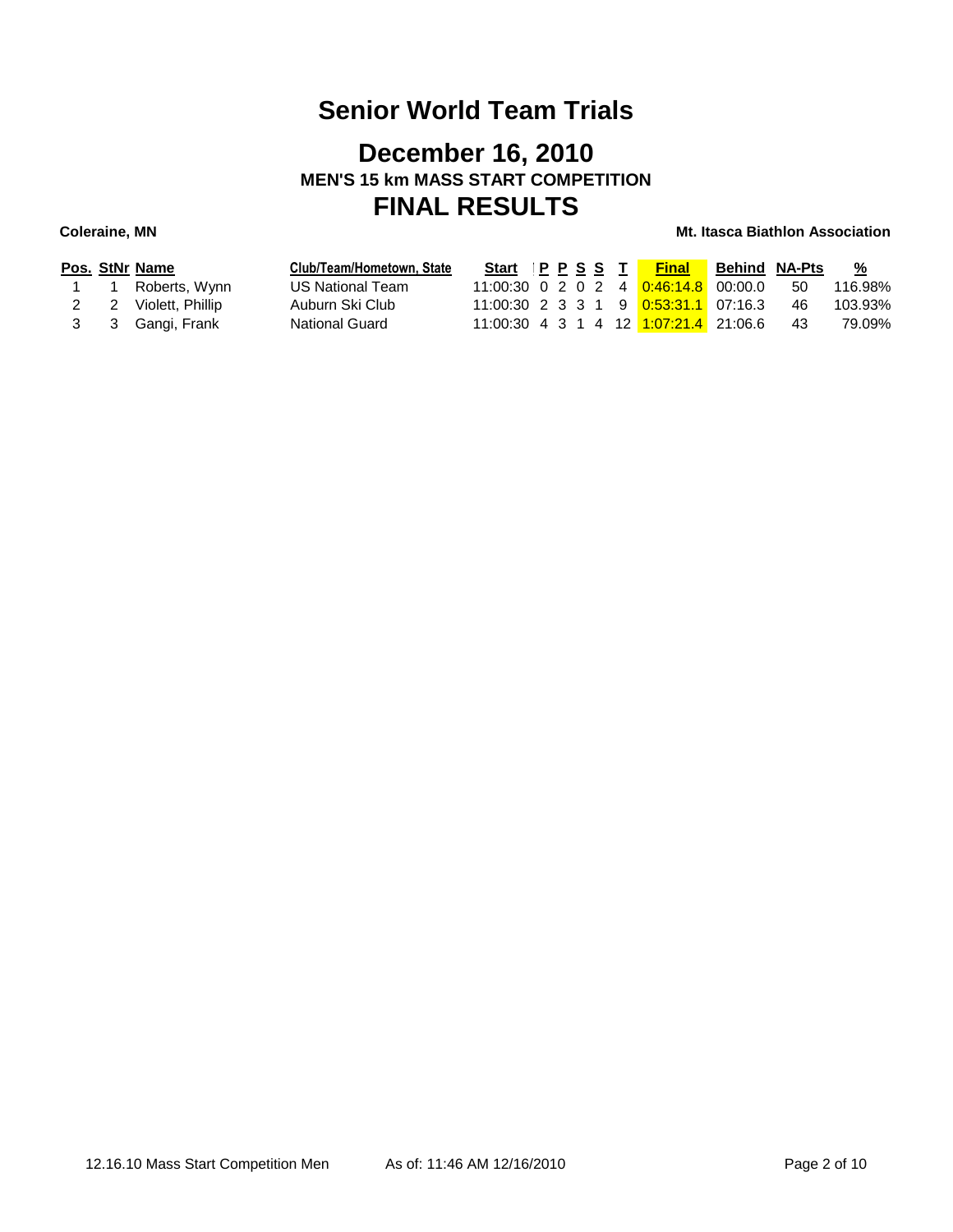## **December 16, 2010 MEN'S 15 km MASS START COMPETITION FINAL RESULTS**

### **Coleraine, MN Coleraine, MN Mt. Itasca Biathlon Association**

|  | Pos. StNr Name       | Club/Team/Hometown, State | Start IPPSST |  |  | <b>Final</b>                                            | <b>Behind NA-Pts</b> |     | <u>%</u> |
|--|----------------------|---------------------------|--------------|--|--|---------------------------------------------------------|----------------------|-----|----------|
|  | 1 1 Roberts, Wynn    | US National Team          |              |  |  | 11:00:30 0 2 0 2 4 0:46:14.8 00:00.0                    |                      | -50 | 116.98%  |
|  | 2 2 Violett, Phillip | Auburn Ski Club           |              |  |  | 11:00:30 2 3 3 1 9 0:53:31.1 07:16.3                    |                      | -46 | 103.93%  |
|  | 3 3 Gangi, Frank     | National Guard            |              |  |  | 11:00:30  4  3  1  4  12 <mark>1:07:21.4</mark> 21:06.6 |                      | -43 | 79.09%   |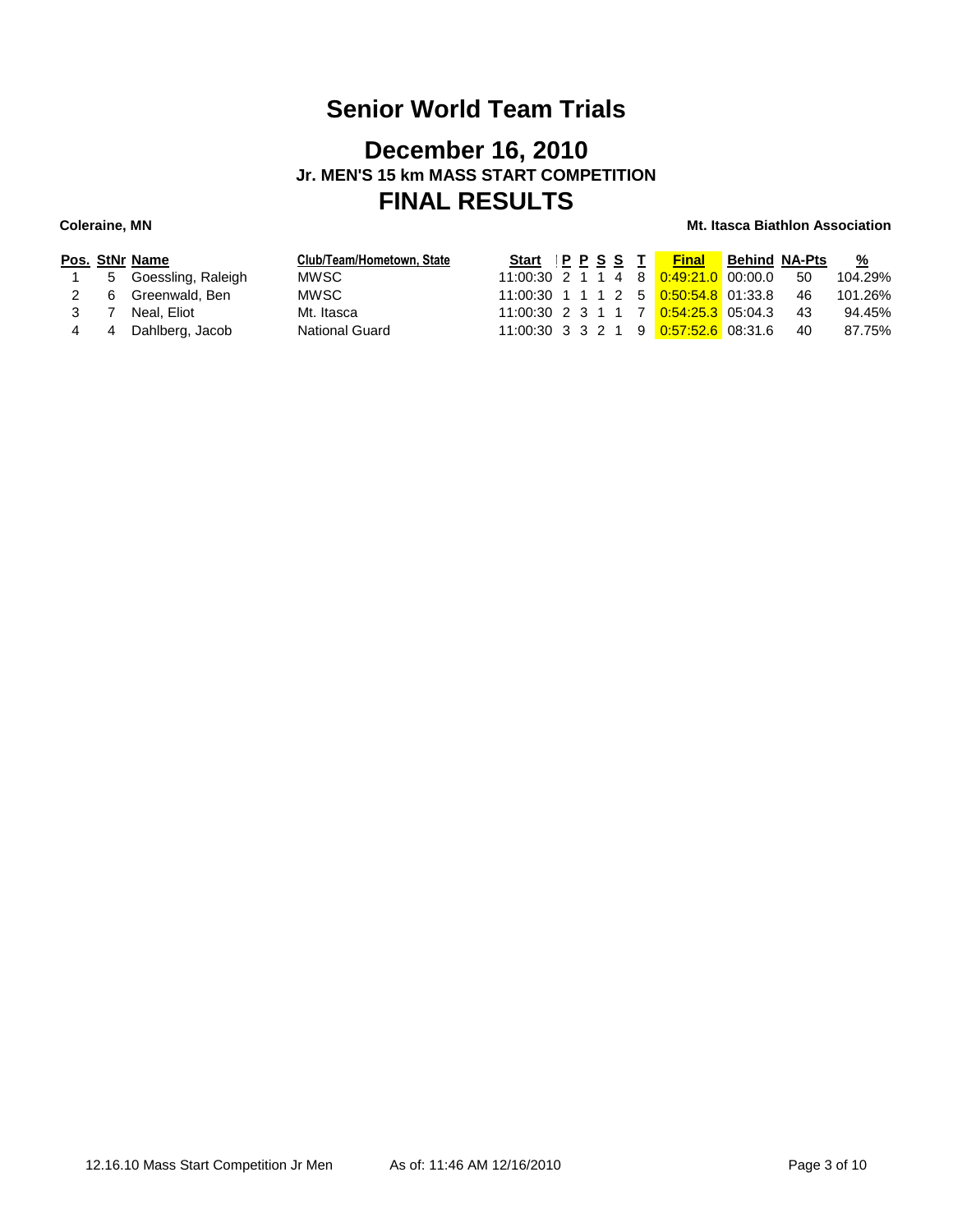### **December 16, 2010 Jr. MEN'S 15 km MASS START COMPETITION FINAL RESULTS**

|     |   | Pos. StNr Name       | Club/Team/Hometown, State | Start PPSST |  |  | <b>Final</b>                                           | <b>Behind NA-Pts</b> |     | <u>%</u> |
|-----|---|----------------------|---------------------------|-------------|--|--|--------------------------------------------------------|----------------------|-----|----------|
|     |   | 5 Goessling, Raleigh | MWSC.                     |             |  |  | 11:00:30  2  1  1  4  8 <mark>0:49:21.0</mark> 00:00.0 |                      | -50 | 104.29%  |
|     | 6 | Greenwald, Ben       | MWSC.                     |             |  |  | 11:00:30 1 1 1 2 5 0:50:54.8 01:33.8                   |                      | -46 | 101.26%  |
|     |   | Neal. Eliot          | Mt. Itasca                |             |  |  | 11:00:30 2 3 1 1 7 0:54:25.3 05:04.3                   |                      | -43 | 94.45%   |
| 4 4 |   | Dahlberg, Jacob      | <b>National Guard</b>     |             |  |  | 11:00:30 3 3 2 1 9 0:57:52.6 08:31.6                   |                      | 40  | 87.75%   |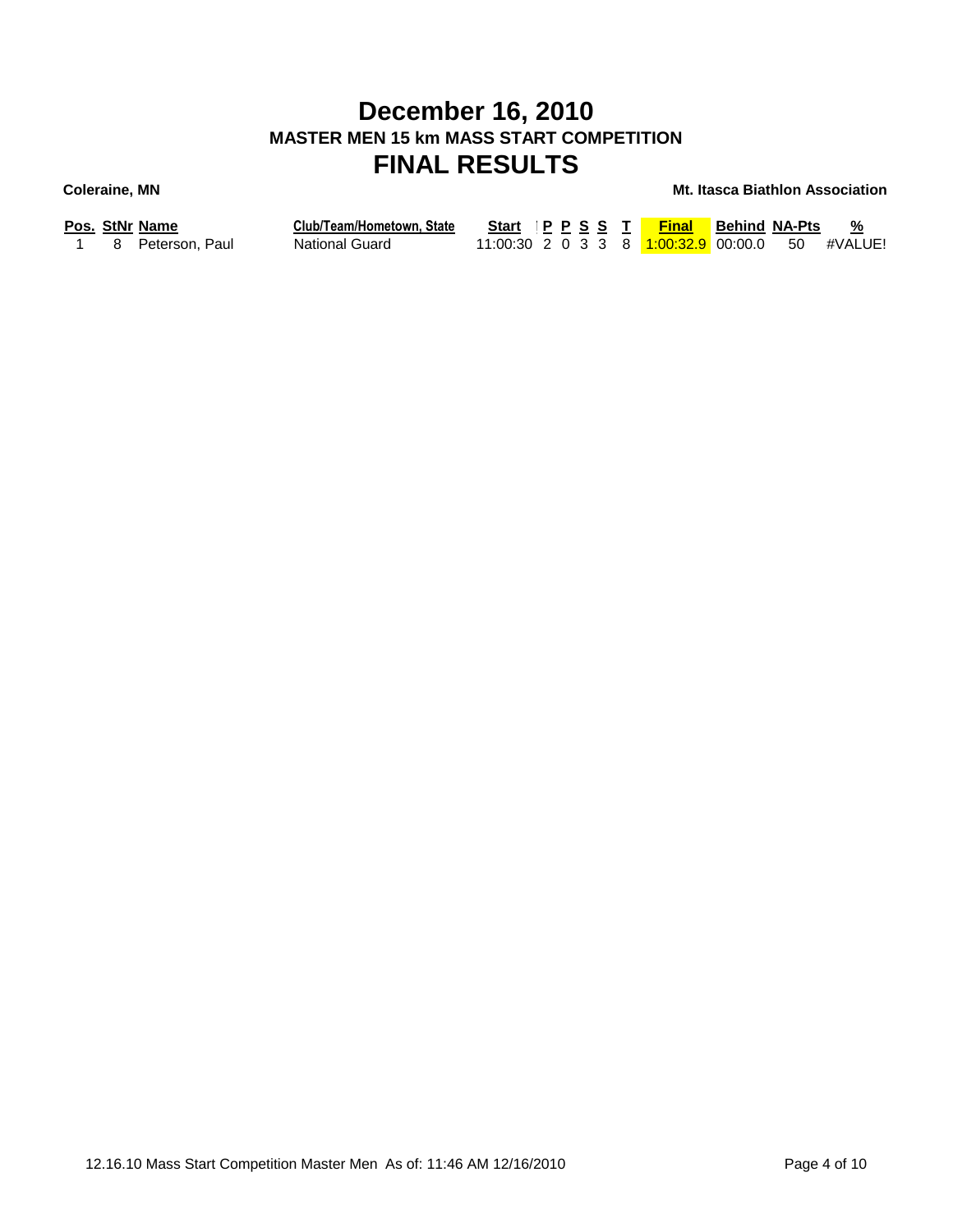## **December 16, 2010 MASTER MEN 15 km MASS START COMPETITION FINAL RESULTS**

### **Coleraine, MN Mt. Itasca Biathlon Association**

| Pos. StNr Name |  |  |  |
|----------------|--|--|--|
|----------------|--|--|--|

**Pos. StNr Name Club/Team/Hometown, State Start Ski Time P P S S T Final Behind NA-Pts %** 1 8 Peterson, Paul National Guard 11:00:30 2 0 3 3 8 <mark>1:00:32.9</mark> 00:00.0 50 #VALUE!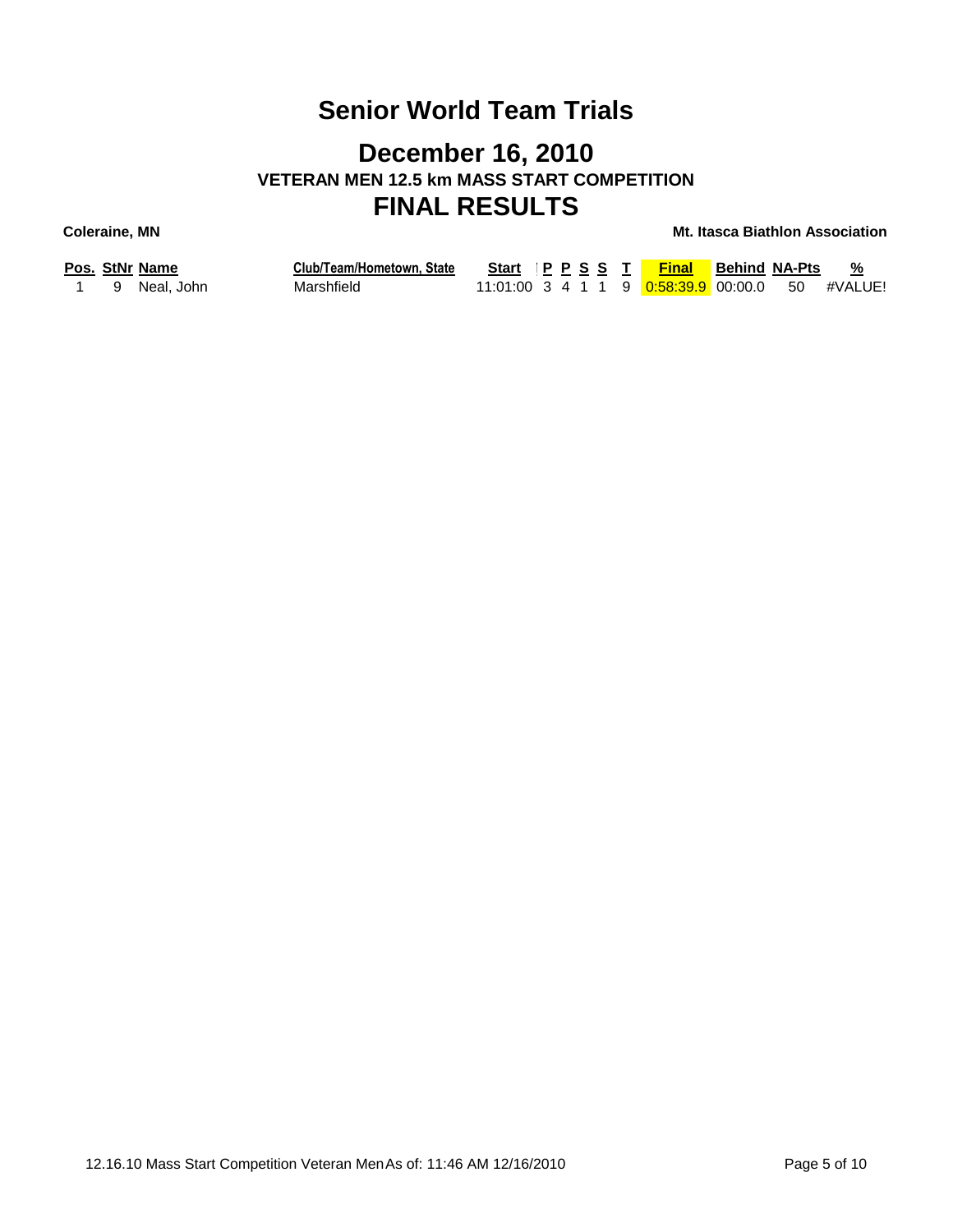## **December 16, 2010 VETERAN MEN 12.5 km MASS START COMPETITION FINAL RESULTS**

|  | Pos. StNr Name | Club/Team/Hometown, State |  |  | Start IP P S S T Final Behind NA-Pts                       |  | %       |
|--|----------------|---------------------------|--|--|------------------------------------------------------------|--|---------|
|  | 1 9 Neal. John | Marshfield                |  |  | 11:01:00  3  4  1  1  9 <mark>0:58:39.9</mark> 00:00.0  50 |  | #VALUE! |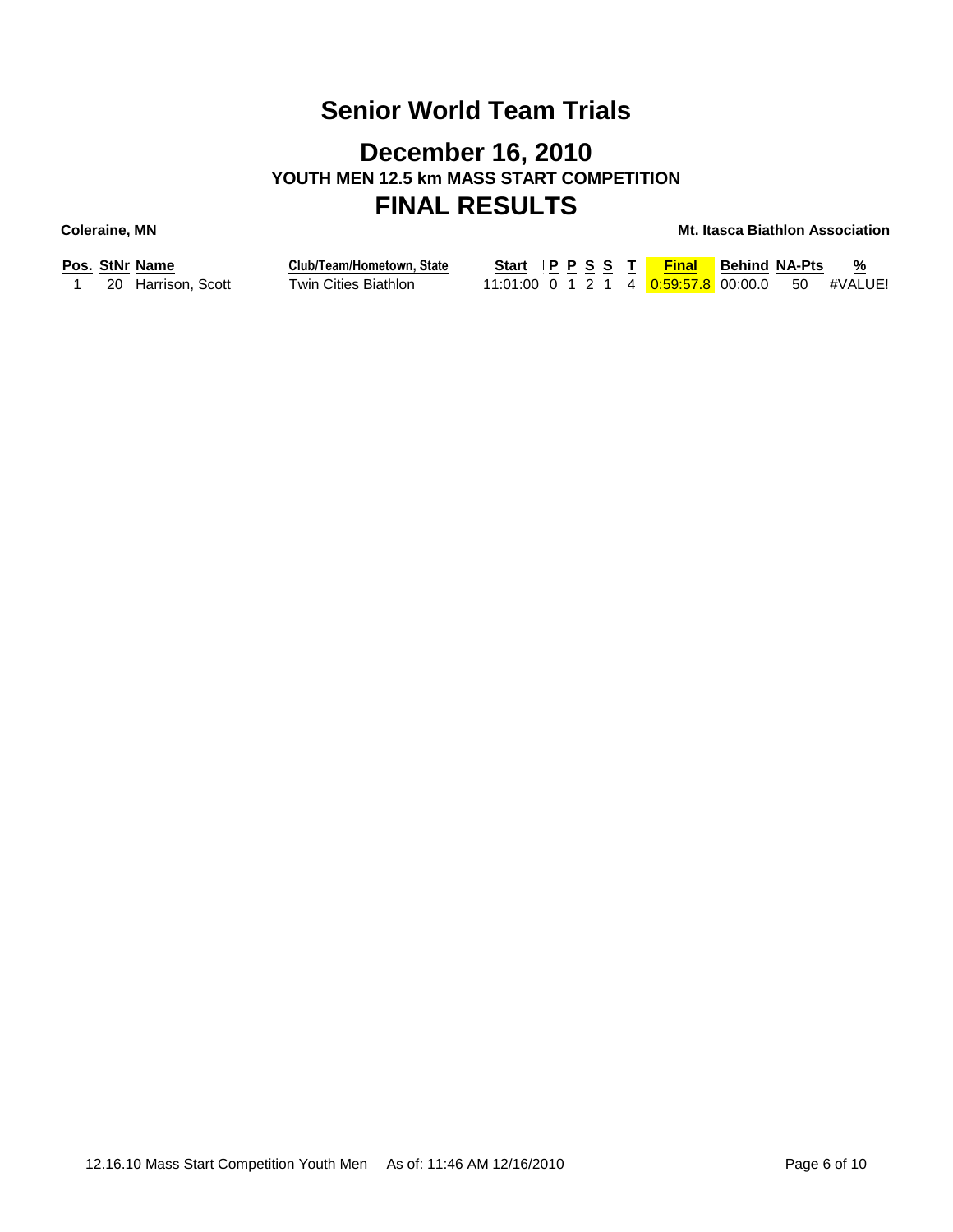## **December 16, 2010 YOUTH MEN 12.5 km MASS START COMPETITION FINAL RESULTS**

**Coleraine, MN Mt. Itasca Biathlon Association**

|  | Pos. סנו <i>א</i> ר name |
|--|--------------------------|
|  | 20 Harrison, Scott       |

**Pos. StNr Name Club/Team/Hometown, State 1 20 Harrison, Scott Twin Cities Biathlon** 

| Start IPPSST |  |  | <b>Final</b>                                    | <b>Behind NA-Pts</b> | %<br>$\sim$ |
|--------------|--|--|-------------------------------------------------|----------------------|-------------|
|              |  |  | 11:01:00 0 1 2 1 4 0:59:57.8 00:00.0 50 #VALUE! |                      |             |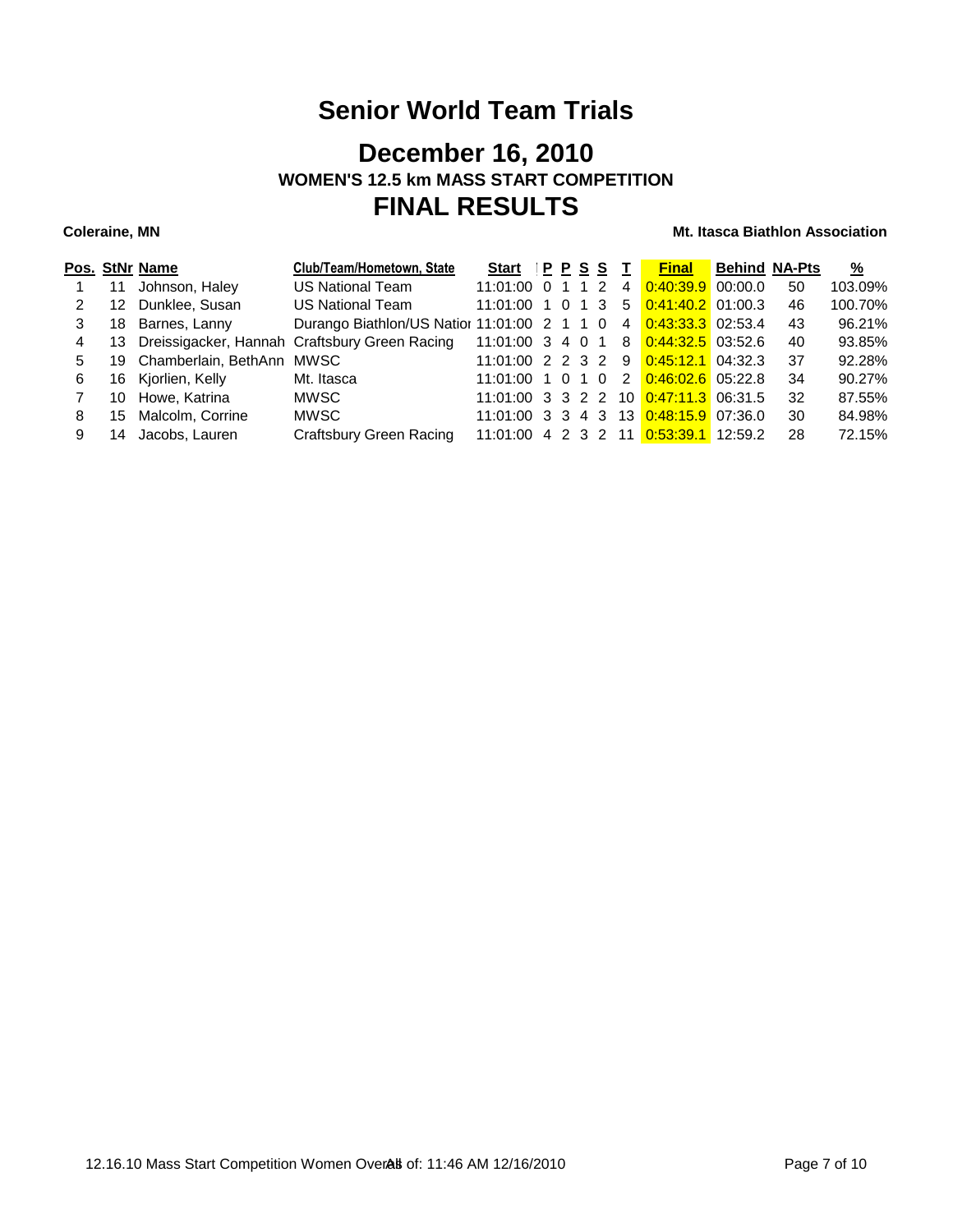## **December 16, 2010 WOMEN'S 12.5 km MASS START COMPETITION FINAL RESULTS**

|   |     | Pos. StNr Name               | Club/Team/Hometown, State                     | Start              | PPSS |     |    | <b>Final</b>                          | <b>Behind NA-Pts</b> |    | $\frac{9}{6}$ |
|---|-----|------------------------------|-----------------------------------------------|--------------------|------|-----|----|---------------------------------------|----------------------|----|---------------|
|   | 11  | Johnson, Haley               | <b>US National Team</b>                       | 11:01:00 0 1 1 2   |      |     | 4  | $0:40:39.9$ 00:00.0                   |                      | 50 | 103.09%       |
|   | 12  | Dunklee, Susan               | US National Team                              | $11:01:00$ 1 0     |      | 1 3 | .5 | $0:41:40.2$ 01:00.3                   |                      | 46 | 100.70%       |
|   | 18  | Barnes, Lanny                | Durango Biathlon/US Natior 11:01:00 2 1 1 0   |                    |      |     | 4  | $0:43:33.3$ 02:53.4                   |                      | 43 | 96.21%        |
| 4 | 13  |                              | Dreissigacker, Hannah Craftsbury Green Racing | $11:01:00$ 3 4 0 1 |      |     | 8  | $0.44.32.5$ 03:52.6                   |                      | 40 | 93.85%        |
| 5 |     | 19 Chamberlain, BethAnn MWSC |                                               | 11:01:00 2 2 3 2   |      |     | 9  | $0.45:12.1$ 04:32.3                   |                      | 37 | 92.28%        |
| 6 | 16. | Kjorlien, Kelly              | Mt. Itasca                                    | $11:01:00$ 1 0 1 0 |      |     | 2  | $0.46:02.6$ 05:22.8                   |                      | 34 | 90.27%        |
|   | 10  | Howe, Katrina                | MWSC.                                         |                    |      |     |    | 11:01:00 3 3 2 2 10 0:47:11.3 06:31.5 |                      | 32 | 87.55%        |
| 8 | 15  | Malcolm, Corrine             | <b>MWSC</b>                                   |                    |      |     |    | 11:01:00 3 3 4 3 13 0:48:15.9 07:36.0 |                      | 30 | 84.98%        |
|   | 14  | Jacobs, Lauren               | Craftsbury Green Racing                       |                    |      |     |    | 11:01:00 4 2 3 2 11 0:53:39.1 12:59.2 |                      | 28 | 72.15%        |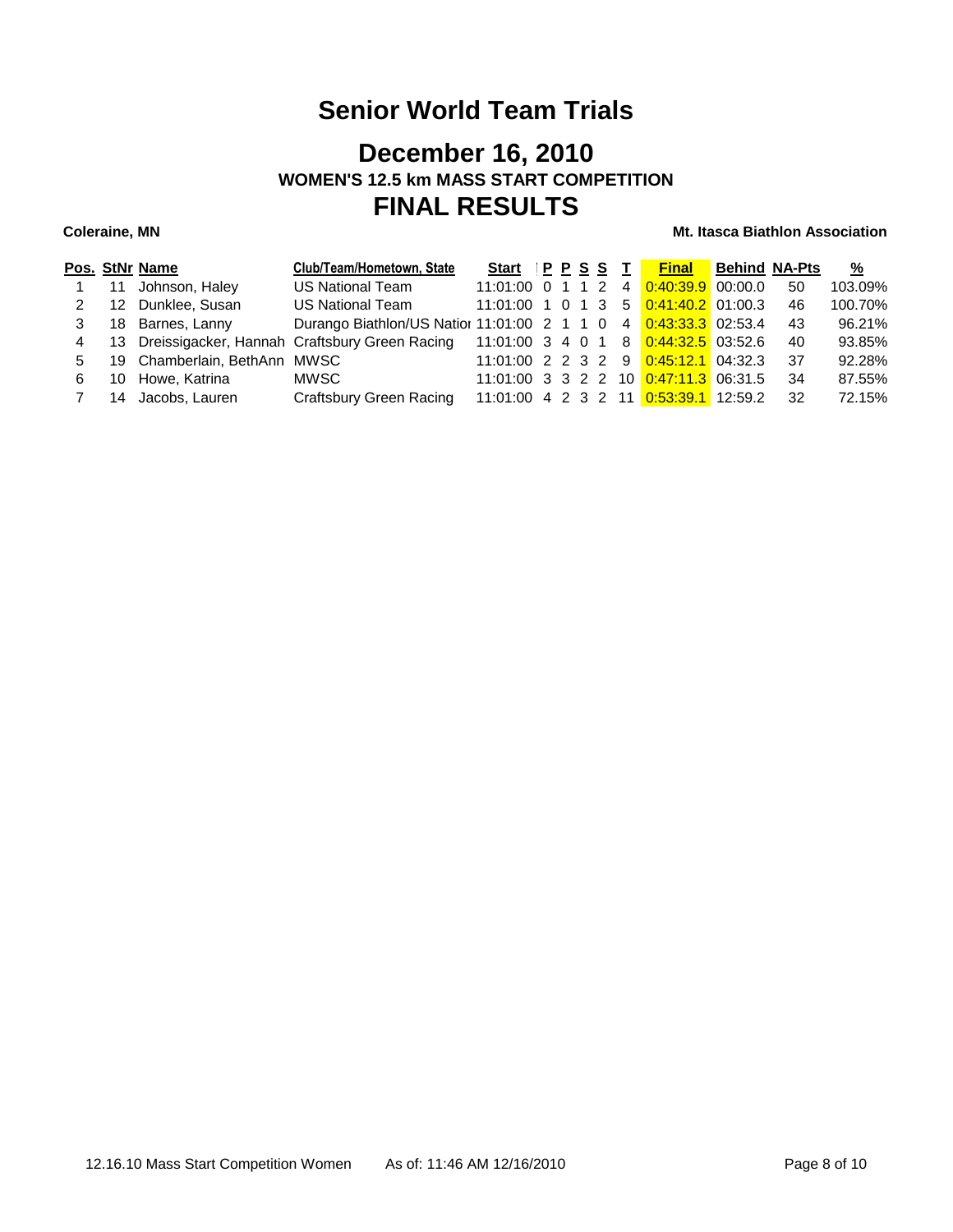## **December 16, 2010 WOMEN'S 12.5 km MASS START COMPETITION FINAL RESULTS**

|   |    | Pos. StNr Name               | Club/Team/Hometown, State                                                             | Start PPSST          |  |  |                                              | <b>Final</b> Behind NA-Pts |     | $\frac{9}{6}$ |
|---|----|------------------------------|---------------------------------------------------------------------------------------|----------------------|--|--|----------------------------------------------|----------------------------|-----|---------------|
|   | 11 | Johnson, Haley               | US National Team                                                                      | $11:01:00$ 0 1 1 2 4 |  |  | $0.40:39.9$ 00:00.0                          |                            | 50  | 103.09%       |
| 2 | 12 | Dunklee, Susan               | <b>US National Team</b>                                                               | 11:01:00 1 0 1 3     |  |  | 5 0:41:40.2 01:00.3                          |                            | 46  | 100.70%       |
|   | 18 | Barnes, Lanny                | Durango Biathlon/US Natior 11:01:00 2 1 1 0 4                                         |                      |  |  | $0:43:33.3$ 02:53.4                          |                            | 43  | 96.21%        |
| 4 |    |                              | 13 Dreissigacker, Hannah Craftsbury Green Racing 11:01:00 3 4 0 1 8 0:44:32.5 03:52.6 |                      |  |  |                                              |                            | 40  | 93.85%        |
| 5 |    | 19 Chamberlain, BethAnn MWSC |                                                                                       |                      |  |  | $11:01:00$ 2 2 3 2 9 $0:45:12.1$ 04:32.3     |                            | -37 | 92.28%        |
| 6 |    | 10 Howe, Katrina             | MWSC.                                                                                 |                      |  |  | 11:01:00 3 3 2 2 10 0:47:11.3 06:31.5        |                            | -34 | 87.55%        |
|   |    | 14 Jacobs, Lauren            | <b>Craftsbury Green Racing</b>                                                        |                      |  |  | 11:01:00  4  2  3  2  11  0:53:39.1  12:59.2 |                            | 32  | 72.15%        |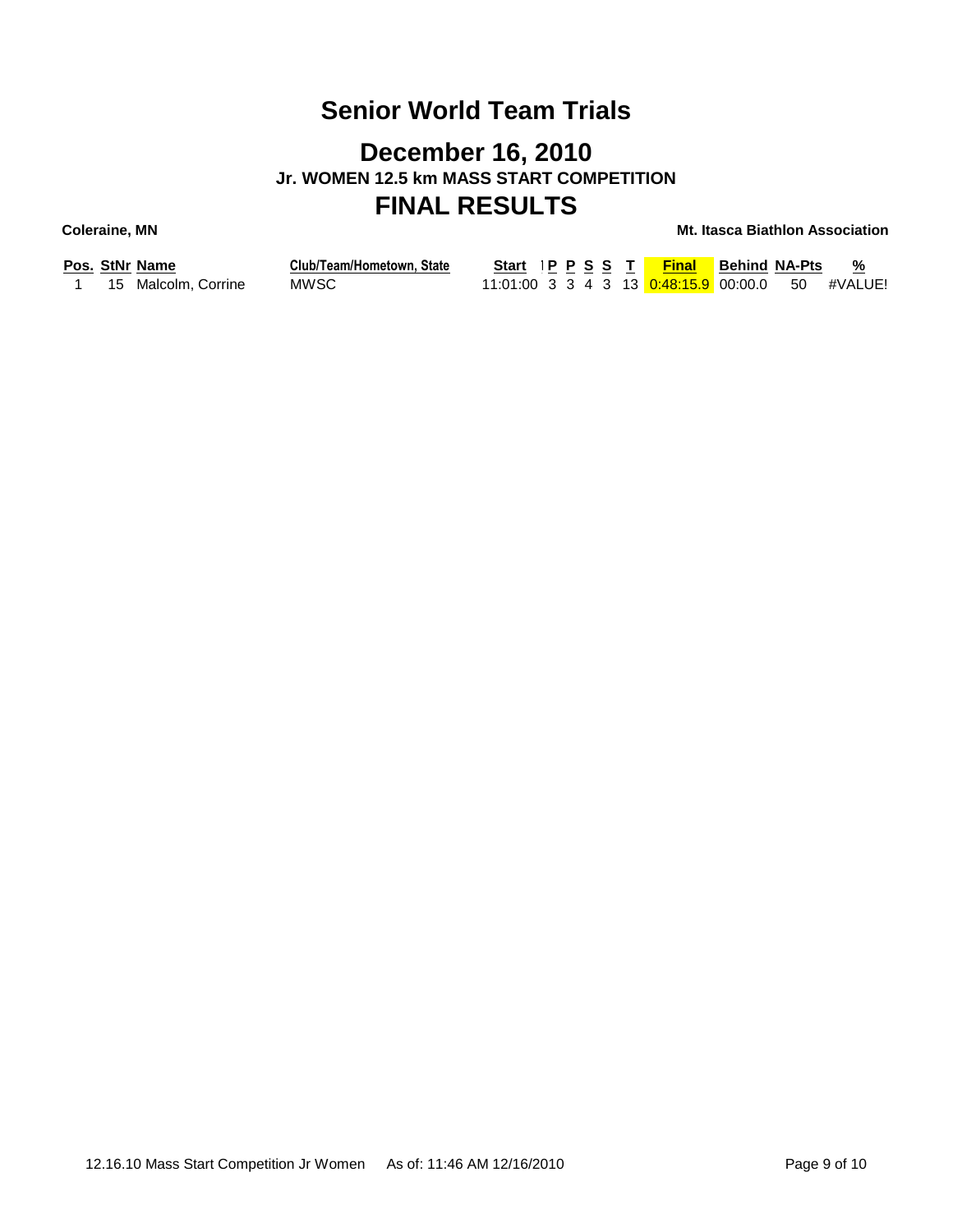## **December 16, 2010 Jr. WOMEN 12.5 km MASS START COMPETITION FINAL RESULTS**

|  | Pos. StNr Name      | Club/Team/Hometown, State |
|--|---------------------|---------------------------|
|  | 15 Malcolm, Corrine | MWSC.                     |

| Start IPPSST |  |  | <b>Final</b>                                     | <b>Behind NA-Pts</b> | %<br>$\overline{\phantom{a}}$ |
|--------------|--|--|--------------------------------------------------|----------------------|-------------------------------|
|              |  |  | 11:01:00 3 3 4 3 13 0:48:15.9 00:00.0 50 #VALUE! |                      |                               |